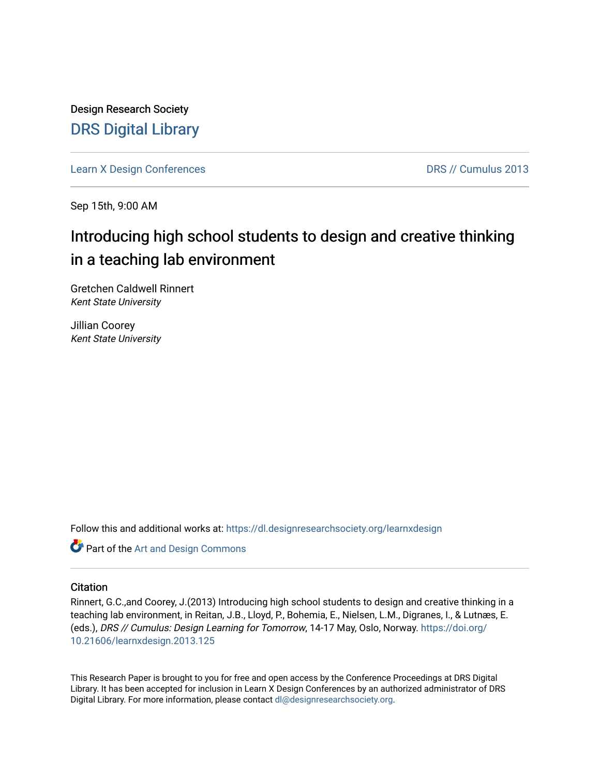Design Research Society [DRS Digital Library](https://dl.designresearchsociety.org/)

[Learn X Design Conferences](https://dl.designresearchsociety.org/learnxdesign) **DRS // Cumulus 2013** 

Sep 15th, 9:00 AM

# Introducing high school students to design and creative thinking in a teaching lab environment

Gretchen Caldwell Rinnert Kent State University

Jillian Coorey Kent State University

Follow this and additional works at: [https://dl.designresearchsociety.org/learnxdesign](https://dl.designresearchsociety.org/learnxdesign?utm_source=dl.designresearchsociety.org%2Flearnxdesign%2Flearnxdesign2013%2Fresearchpapers%2F123&utm_medium=PDF&utm_campaign=PDFCoverPages)

Part of the [Art and Design Commons](http://network.bepress.com/hgg/discipline/1049?utm_source=dl.designresearchsociety.org%2Flearnxdesign%2Flearnxdesign2013%2Fresearchpapers%2F123&utm_medium=PDF&utm_campaign=PDFCoverPages)

### **Citation**

Rinnert, G.C.,and Coorey, J.(2013) Introducing high school students to design and creative thinking in a teaching lab environment, in Reitan, J.B., Lloyd, P., Bohemia, E., Nielsen, L.M., Digranes, I., & Lutnæs, E. (eds.), DRS // Cumulus: Design Learning for Tomorrow, 14-17 May, Oslo, Norway. [https://doi.org/](https://doi.org/10.21606/learnxdesign.2013.125) [10.21606/learnxdesign.2013.125](https://doi.org/10.21606/learnxdesign.2013.125)

This Research Paper is brought to you for free and open access by the Conference Proceedings at DRS Digital Library. It has been accepted for inclusion in Learn X Design Conferences by an authorized administrator of DRS Digital Library. For more information, please contact [dl@designresearchsociety.org](mailto:dl@designresearchsociety.org).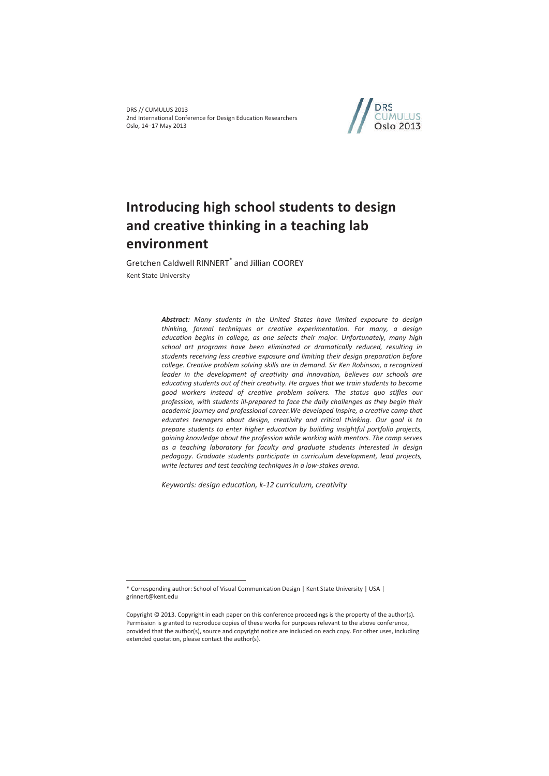DRS // CUMULUS 2013 2nd International Conference for Design Education Researchers Oslo, 14–17 May 2013



# **Introducing high school students to design and creative thinking in a teaching lab environment**

Gretchen Caldwell RINNERT<sup>\*</sup> and Jillian COOREY Kent State University

> *Abstract: Many students in the United States have limited exposure to design thinking, formal techniques or creative experimentation. For many, a design education begins in college, as one selects their major. Unfortunately, many high school art programs have been eliminated or dramatically reduced, resulting in students receiving less creative exposure and limiting their design preparation before college. Creative problem solving skills are in demand. Sir Ken Robinson, a recognized*  leader in the development of creativity and innovation, believes our schools are *educating students out of their creativity. He argues that we train students to become good workers instead of creative problem solvers. The status quo stifles our profession, with students ill-prepared to face the daily challenges as they begin their academic journey and professional career.We developed Inspire, a creative camp that educates teenagers about design, creativity and critical thinking. Our goal is to prepare students to enter higher education by building insightful portfolio projects, gaining knowledge about the profession while working with mentors. The camp serves as a teaching laboratory for faculty and graduate students interested in design pedagogy. Graduate students participate in curriculum development, lead projects, write lectures and test teaching techniques in a low-stakes arena.*

*Keywords: design education, k-12 curriculum, creativity* 

 $\overline{a}$ 

<sup>\*</sup> Corresponding author: School of Visual Communication Design | Kent State University | USA | grinnert@kent.edu

Copyright © 2013. Copyright in each paper on this conference proceedings is the property of the author(s). Permission is granted to reproduce copies of these works for purposes relevant to the above conference, provided that the author(s), source and copyright notice are included on each copy. For other uses, including extended quotation, please contact the author(s).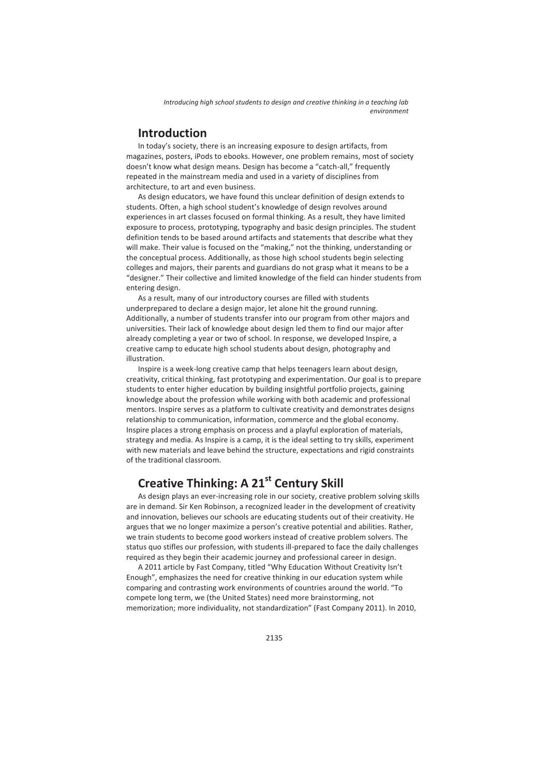# **Introduction**

In today's society, there is an increasing exposure to design artifacts, from magazines, posters, iPods to ebooks. However, one problem remains, most of society doesn't know what design means. Design has become a "catch-all," frequently repeated in the mainstream media and used in a variety of disciplines from architecture, to art and even business.

As design educators, we have found this unclear definition of design extends to students. Often, a high school student's knowledge of design revolves around experiences in art classes focused on formal thinking. As a result, they have limited exposure to process, prototyping, typography and basic design principles. The student definition tends to be based around artifacts and statements that describe what they will make. Their value is focused on the "making," not the thinking, understanding or the conceptual process. Additionally, as those high school students begin selecting colleges and majors, their parents and guardians do not grasp what it means to be a "designer." Their collective and limited knowledge of the field can hinder students from entering design.

As a result, many of our introductory courses are filled with students underprepared to declare a design major, let alone hit the ground running. Additionally, a number of students transfer into our program from other majors and universities. Their lack of knowledge about design led them to find our major after already completing a year or two of school. In response, we developed Inspire, a creative camp to educate high school students about design, photography and illustration.

Inspire is a week-long creative camp that helps teenagers learn about design, creativity, critical thinking, fast prototyping and experimentation. Our goal is to prepare students to enter higher education by building insightful portfolio projects, gaining knowledge about the profession while working with both academic and professional mentors. Inspire serves as a platform to cultivate creativity and demonstrates designs relationship to communication, information, commerce and the global economy. Inspire places a strong emphasis on process and a playful exploration of materials, strategy and media. As Inspire is a camp, it is the ideal setting to try skills, experiment with new materials and leave behind the structure, expectations and rigid constraints of the traditional classroom.

# **Creative Thinking: A 21st Century Skill**

As design plays an ever-increasing role in our society, creative problem solving skills are in demand. Sir Ken Robinson, a recognized leader in the development of creativity and innovation, believes our schools are educating students out of their creativity. He argues that we no longer maximize a person's creative potential and abilities. Rather, we train students to become good workers instead of creative problem solvers. The status quo stifles our profession, with students ill-prepared to face the daily challenges required as they begin their academic journey and professional career in design.

A 2011 article by Fast Company, titled "Why Education Without Creativity Isn't Enough", emphasizes the need for creative thinking in our education system while comparing and contrasting work environments of countries around the world. "To compete long term, we (the United States) need more brainstorming, not memorization; more individuality, not standardization" (Fast Company 2011). In 2010,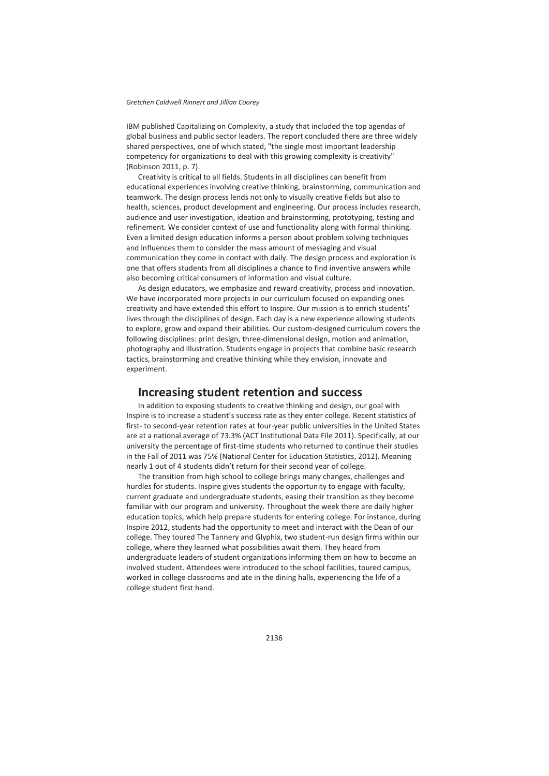#### *Gretchen Caldwell Rinnert and Jillian Coorey*

IBM published Capitalizing on Complexity, a study that included the top agendas of global business and public sector leaders. The report concluded there are three widely shared perspectives, one of which stated, "the single most important leadership competency for organizations to deal with this growing complexity is creativity" (Robinson 2011, p. 7).

Creativity is critical to all fields. Students in all disciplines can benefit from educational experiences involving creative thinking, brainstorming, communication and teamwork. The design process lends not only to visually creative fields but also to health, sciences, product development and engineering. Our process includes research, audience and user investigation, ideation and brainstorming, prototyping, testing and refinement. We consider context of use and functionality along with formal thinking. Even a limited design education informs a person about problem solving techniques and influences them to consider the mass amount of messaging and visual communication they come in contact with daily. The design process and exploration is one that offers students from all disciplines a chance to find inventive answers while also becoming critical consumers of information and visual culture.

As design educators, we emphasize and reward creativity, process and innovation. We have incorporated more projects in our curriculum focused on expanding ones creativity and have extended this effort to Inspire. Our mission is to enrich students' lives through the disciplines of design. Each day is a new experience allowing students to explore, grow and expand their abilities. Our custom-designed curriculum covers the following disciplines: print design, three-dimensional design, motion and animation, photography and illustration. Students engage in projects that combine basic research tactics, brainstorming and creative thinking while they envision, innovate and experiment.

## **Increasing student retention and success**

In addition to exposing students to creative thinking and design, our goal with Inspire is to increase a student's success rate as they enter college. Recent statistics of first- to second-year retention rates at four-year public universities in the United States are at a national average of 73.3% (ACT Institutional Data File 2011). Specifically, at our university the percentage of first-time students who returned to continue their studies in the Fall of 2011 was 75% (National Center for Education Statistics, 2012). Meaning nearly 1 out of 4 students didn't return for their second year of college.

The transition from high school to college brings many changes, challenges and hurdles for students. Inspire gives students the opportunity to engage with faculty, current graduate and undergraduate students, easing their transition as they become familiar with our program and university. Throughout the week there are daily higher education topics, which help prepare students for entering college. For instance, during Inspire 2012, students had the opportunity to meet and interact with the Dean of our college. They toured The Tannery and Glyphix, two student-run design firms within our college, where they learned what possibilities await them. They heard from undergraduate leaders of student organizations informing them on how to become an involved student. Attendees were introduced to the school facilities, toured campus, worked in college classrooms and ate in the dining halls, experiencing the life of a college student first hand.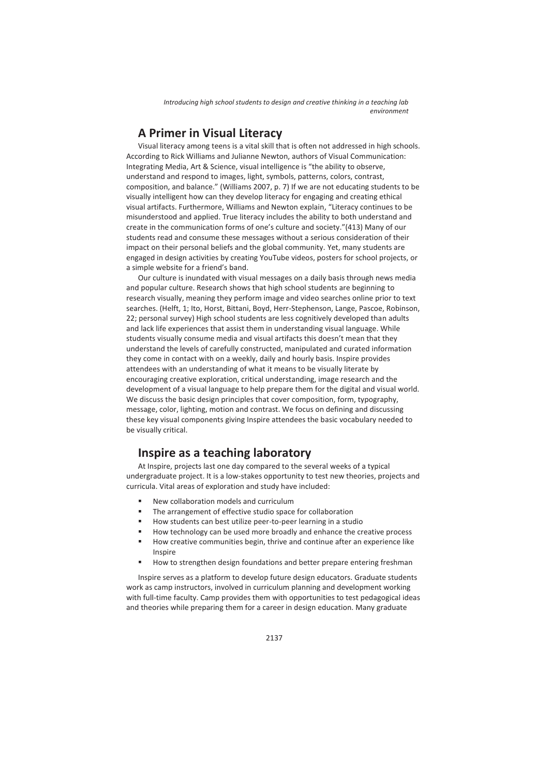# **A Primer in Visual Literacy**

Visual literacy among teens is a vital skill that is often not addressed in high schools. According to Rick Williams and Julianne Newton, authors of Visual Communication: Integrating Media, Art & Science, visual intelligence is "the ability to observe, understand and respond to images, light, symbols, patterns, colors, contrast, composition, and balance." (Williams 2007, p. 7) If we are not educating students to be visually intelligent how can they develop literacy for engaging and creating ethical visual artifacts. Furthermore, Williams and Newton explain, "Literacy continues to be misunderstood and applied. True literacy includes the ability to both understand and create in the communication forms of one's culture and society."(413) Many of our students read and consume these messages without a serious consideration of their impact on their personal beliefs and the global community. Yet, many students are engaged in design activities by creating YouTube videos, posters for school projects, or a simple website for a friend's band.

Our culture is inundated with visual messages on a daily basis through news media and popular culture. Research shows that high school students are beginning to research visually, meaning they perform image and video searches online prior to text searches. (Helft, 1; Ito, Horst, Bittani, Boyd, Herr-Stephenson, Lange, Pascoe, Robinson, 22; personal survey) High school students are less cognitively developed than adults and lack life experiences that assist them in understanding visual language. While students visually consume media and visual artifacts this doesn't mean that they understand the levels of carefully constructed, manipulated and curated information they come in contact with on a weekly, daily and hourly basis. Inspire provides attendees with an understanding of what it means to be visually literate by encouraging creative exploration, critical understanding, image research and the development of a visual language to help prepare them for the digital and visual world. We discuss the basic design principles that cover composition, form, typography, message, color, lighting, motion and contrast. We focus on defining and discussing these key visual components giving Inspire attendees the basic vocabulary needed to be visually critical.

# **Inspire as a teaching laboratory**

At Inspire, projects last one day compared to the several weeks of a typical undergraduate project. It is a low-stakes opportunity to test new theories, projects and curricula. Vital areas of exploration and study have included:

- New collaboration models and curriculum
- The arrangement of effective studio space for collaboration
- How students can best utilize peer-to-peer learning in a studio
- How technology can be used more broadly and enhance the creative process
- How creative communities begin, thrive and continue after an experience like Inspire
- **How to strengthen design foundations and better prepare entering freshman**

Inspire serves as a platform to develop future design educators. Graduate students work as camp instructors, involved in curriculum planning and development working with full-time faculty. Camp provides them with opportunities to test pedagogical ideas and theories while preparing them for a career in design education. Many graduate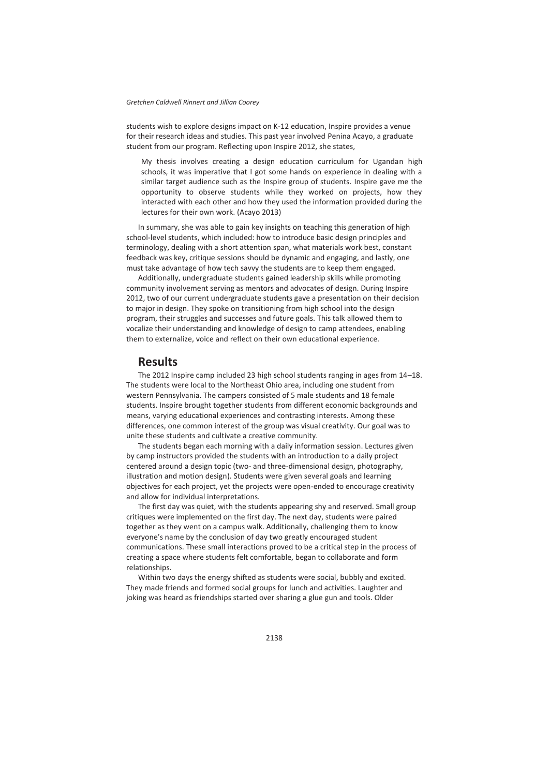#### *Gretchen Caldwell Rinnert and Jillian Coorey*

students wish to explore designs impact on K-12 education, Inspire provides a venue for their research ideas and studies. This past year involved Penina Acayo, a graduate student from our program. Reflecting upon Inspire 2012, she states,

My thesis involves creating a design education curriculum for Ugandan high schools, it was imperative that I got some hands on experience in dealing with a similar target audience such as the Inspire group of students. Inspire gave me the opportunity to observe students while they worked on projects, how they interacted with each other and how they used the information provided during the lectures for their own work. (Acayo 2013)

In summary, she was able to gain key insights on teaching this generation of high school-level students, which included: how to introduce basic design principles and terminology, dealing with a short attention span, what materials work best, constant feedback was key, critique sessions should be dynamic and engaging, and lastly, one must take advantage of how tech savvy the students are to keep them engaged.

Additionally, undergraduate students gained leadership skills while promoting community involvement serving as mentors and advocates of design. During Inspire 2012, two of our current undergraduate students gave a presentation on their decision to major in design. They spoke on transitioning from high school into the design program, their struggles and successes and future goals. This talk allowed them to vocalize their understanding and knowledge of design to camp attendees, enabling them to externalize, voice and reflect on their own educational experience.

### **Results**

The 2012 Inspire camp included 23 high school students ranging in ages from 14–18. The students were local to the Northeast Ohio area, including one student from western Pennsylvania. The campers consisted of 5 male students and 18 female students. Inspire brought together students from different economic backgrounds and means, varying educational experiences and contrasting interests. Among these differences, one common interest of the group was visual creativity. Our goal was to unite these students and cultivate a creative community.

The students began each morning with a daily information session. Lectures given by camp instructors provided the students with an introduction to a daily project centered around a design topic (two- and three-dimensional design, photography, illustration and motion design). Students were given several goals and learning objectives for each project, yet the projects were open-ended to encourage creativity and allow for individual interpretations.

The first day was quiet, with the students appearing shy and reserved. Small group critiques were implemented on the first day. The next day, students were paired together as they went on a campus walk. Additionally, challenging them to know everyone's name by the conclusion of day two greatly encouraged student communications. These small interactions proved to be a critical step in the process of creating a space where students felt comfortable, began to collaborate and form relationships.

Within two days the energy shifted as students were social, bubbly and excited. They made friends and formed social groups for lunch and activities. Laughter and joking was heard as friendships started over sharing a glue gun and tools. Older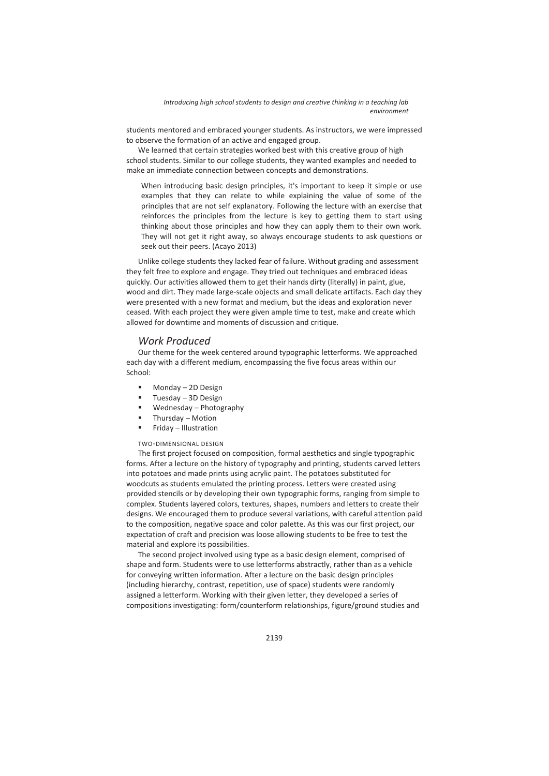students mentored and embraced younger students. As instructors, we were impressed to observe the formation of an active and engaged group.

We learned that certain strategies worked best with this creative group of high school students. Similar to our college students, they wanted examples and needed to make an immediate connection between concepts and demonstrations.

When introducing basic design principles, it's important to keep it simple or use examples that they can relate to while explaining the value of some of the principles that are not self explanatory. Following the lecture with an exercise that reinforces the principles from the lecture is key to getting them to start using thinking about those principles and how they can apply them to their own work. They will not get it right away, so always encourage students to ask questions or seek out their peers. (Acayo 2013)

Unlike college students they lacked fear of failure. Without grading and assessment they felt free to explore and engage. They tried out techniques and embraced ideas quickly. Our activities allowed them to get their hands dirty (literally) in paint, glue, wood and dirt. They made large-scale objects and small delicate artifacts. Each day they were presented with a new format and medium, but the ideas and exploration never ceased. With each project they were given ample time to test, make and create which allowed for downtime and moments of discussion and critique.

### *Work Produced*

Our theme for the week centered around typographic letterforms. We approached each day with a different medium, encompassing the five focus areas within our School:

- Monday 2D Design
- Tuesday 3D Design
- Wednesday Photography
- Thursday Motion
- Friday Illustration

#### TWO-DIMENSIONAL DESIGN

The first project focused on composition, formal aesthetics and single typographic forms. After a lecture on the history of typography and printing, students carved letters into potatoes and made prints using acrylic paint. The potatoes substituted for woodcuts as students emulated the printing process. Letters were created using provided stencils or by developing their own typographic forms, ranging from simple to complex. Students layered colors, textures, shapes, numbers and letters to create their designs. We encouraged them to produce several variations, with careful attention paid to the composition, negative space and color palette. As this was our first project, our expectation of craft and precision was loose allowing students to be free to test the material and explore its possibilities.

The second project involved using type as a basic design element, comprised of shape and form. Students were to use letterforms abstractly, rather than as a vehicle for conveying written information. After a lecture on the basic design principles (including hierarchy, contrast, repetition, use of space) students were randomly assigned a letterform. Working with their given letter, they developed a series of compositions investigating: form/counterform relationships, figure/ground studies and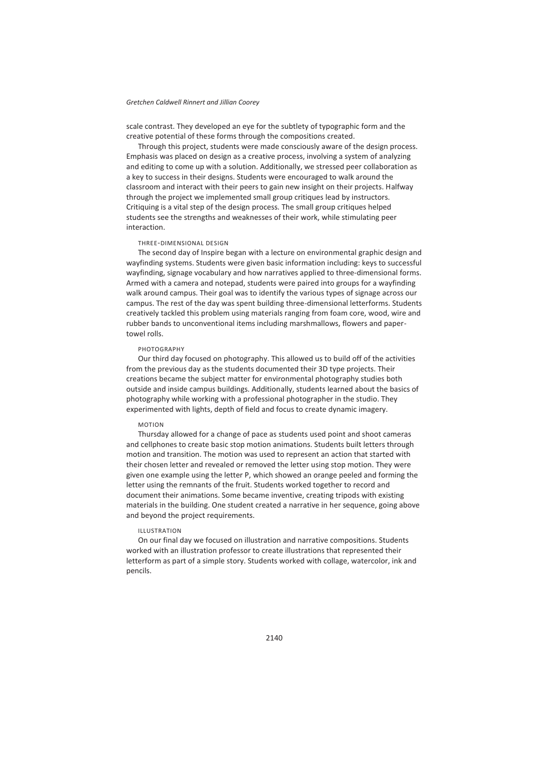#### *Gretchen Caldwell Rinnert and Jillian Coorey*

scale contrast. They developed an eye for the subtlety of typographic form and the creative potential of these forms through the compositions created.

Through this project, students were made consciously aware of the design process. Emphasis was placed on design as a creative process, involving a system of analyzing and editing to come up with a solution. Additionally, we stressed peer collaboration as a key to success in their designs. Students were encouraged to walk around the classroom and interact with their peers to gain new insight on their projects. Halfway through the project we implemented small group critiques lead by instructors. Critiquing is a vital step of the design process. The small group critiques helped students see the strengths and weaknesses of their work, while stimulating peer interaction.

#### THREE-DIMENSIONAL DESIGN

The second day of Inspire began with a lecture on environmental graphic design and wayfinding systems. Students were given basic information including: keys to successful wayfinding, signage vocabulary and how narratives applied to three-dimensional forms. Armed with a camera and notepad, students were paired into groups for a wayfinding walk around campus. Their goal was to identify the various types of signage across our campus. The rest of the day was spent building three-dimensional letterforms. Students creatively tackled this problem using materials ranging from foam core, wood, wire and rubber bands to unconventional items including marshmallows, flowers and papertowel rolls.

#### **PHOTOGRAPHY**

Our third day focused on photography. This allowed us to build off of the activities from the previous day as the students documented their 3D type projects. Their creations became the subject matter for environmental photography studies both outside and inside campus buildings. Additionally, students learned about the basics of photography while working with a professional photographer in the studio. They experimented with lights, depth of field and focus to create dynamic imagery.

#### MOTION

Thursday allowed for a change of pace as students used point and shoot cameras and cellphones to create basic stop motion animations. Students built letters through motion and transition. The motion was used to represent an action that started with their chosen letter and revealed or removed the letter using stop motion. They were given one example using the letter P, which showed an orange peeled and forming the letter using the remnants of the fruit. Students worked together to record and document their animations. Some became inventive, creating tripods with existing materials in the building. One student created a narrative in her sequence, going above and beyond the project requirements.

#### ILLUSTRATION

On our final day we focused on illustration and narrative compositions. Students worked with an illustration professor to create illustrations that represented their letterform as part of a simple story. Students worked with collage, watercolor, ink and pencils.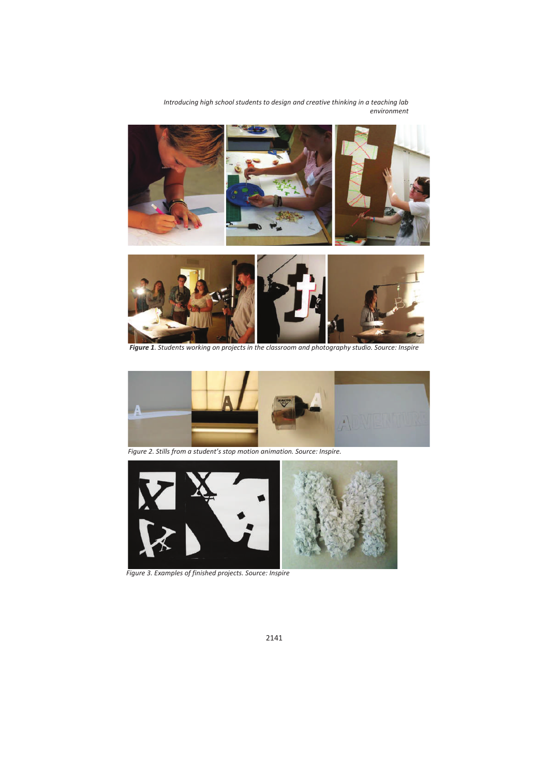

*Figure 1. Students working on projects in the classroom and photography studio. Source: Inspire* 



 *Figure 2. Stills from a student's stop motion animation. Source: Inspire.* 



*Figure 3. Examples of finished projects. Source: Inspire*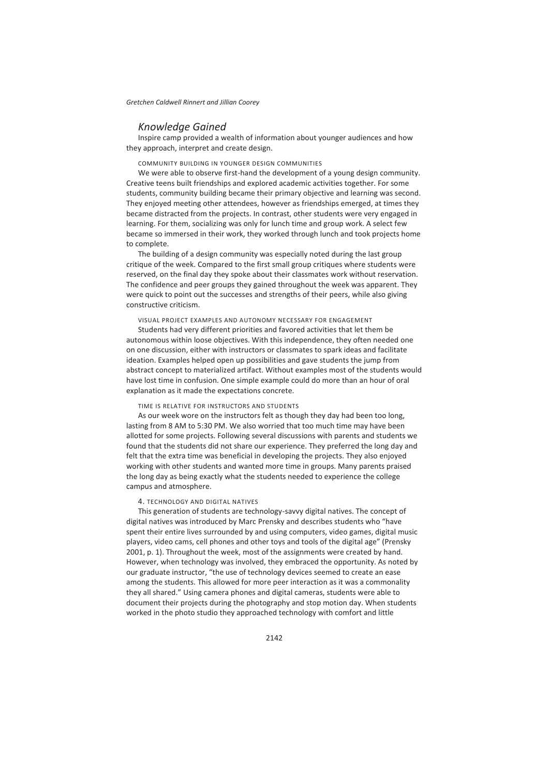### *Knowledge Gained*

Inspire camp provided a wealth of information about younger audiences and how they approach, interpret and create design.

COMMUNITY BUILDING IN YOUNGER DESIGN COMMUNITIES

We were able to observe first-hand the development of a young design community. Creative teens built friendships and explored academic activities together. For some students, community building became their primary objective and learning was second. They enjoyed meeting other attendees, however as friendships emerged, at times they became distracted from the projects. In contrast, other students were very engaged in learning. For them, socializing was only for lunch time and group work. A select few became so immersed in their work, they worked through lunch and took projects home to complete.

The building of a design community was especially noted during the last group critique of the week. Compared to the first small group critiques where students were reserved, on the final day they spoke about their classmates work without reservation. The confidence and peer groups they gained throughout the week was apparent. They were quick to point out the successes and strengths of their peers, while also giving constructive criticism.

#### VISUAL PROJECT EXAMPLES AND AUTONOMY NECESSARY FOR ENGAGEMENT

Students had very different priorities and favored activities that let them be autonomous within loose objectives. With this independence, they often needed one on one discussion, either with instructors or classmates to spark ideas and facilitate ideation. Examples helped open up possibilities and gave students the jump from abstract concept to materialized artifact. Without examples most of the students would have lost time in confusion. One simple example could do more than an hour of oral explanation as it made the expectations concrete.

#### TIME IS RELATIVE FOR INSTRUCTORS AND STUDENTS

As our week wore on the instructors felt as though they day had been too long, lasting from 8 AM to 5:30 PM. We also worried that too much time may have been allotted for some projects. Following several discussions with parents and students we found that the students did not share our experience. They preferred the long day and felt that the extra time was beneficial in developing the projects. They also enjoyed working with other students and wanted more time in groups. Many parents praised the long day as being exactly what the students needed to experience the college campus and atmosphere.

#### 4. TECHNOLOGY AND DIGITAL NATIVES

This generation of students are technology-savvy digital natives. The concept of digital natives was introduced by Marc Prensky and describes students who "have spent their entire lives surrounded by and using computers, video games, digital music players, video cams, cell phones and other toys and tools of the digital age" (Prensky 2001, p. 1). Throughout the week, most of the assignments were created by hand. However, when technology was involved, they embraced the opportunity. As noted by our graduate instructor, "the use of technology devices seemed to create an ease among the students. This allowed for more peer interaction as it was a commonality they all shared." Using camera phones and digital cameras, students were able to document their projects during the photography and stop motion day. When students worked in the photo studio they approached technology with comfort and little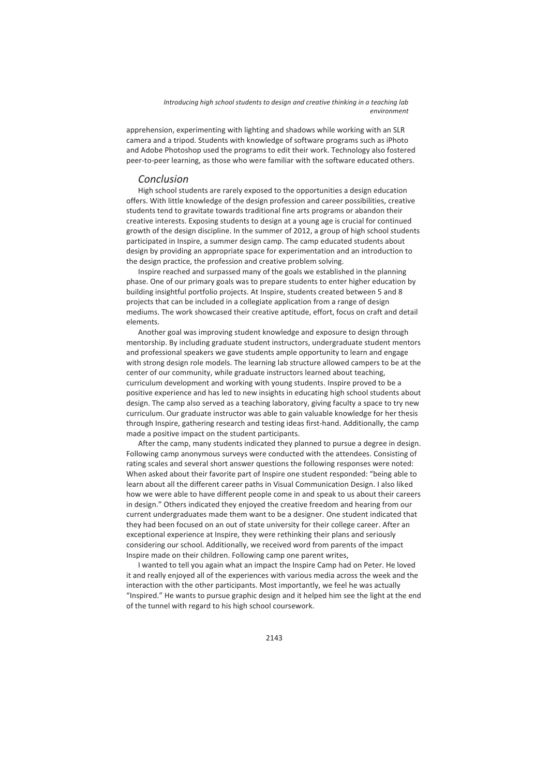apprehension, experimenting with lighting and shadows while working with an SLR camera and a tripod. Students with knowledge of software programs such as iPhoto and Adobe Photoshop used the programs to edit their work. Technology also fostered peer-to-peer learning, as those who were familiar with the software educated others.

### *Conclusion*

High school students are rarely exposed to the opportunities a design education offers. With little knowledge of the design profession and career possibilities, creative students tend to gravitate towards traditional fine arts programs or abandon their creative interests. Exposing students to design at a young age is crucial for continued growth of the design discipline. In the summer of 2012, a group of high school students participated in Inspire, a summer design camp. The camp educated students about design by providing an appropriate space for experimentation and an introduction to the design practice, the profession and creative problem solving.

Inspire reached and surpassed many of the goals we established in the planning phase. One of our primary goals was to prepare students to enter higher education by building insightful portfolio projects. At Inspire, students created between 5 and 8 projects that can be included in a collegiate application from a range of design mediums. The work showcased their creative aptitude, effort, focus on craft and detail elements.

Another goal was improving student knowledge and exposure to design through mentorship. By including graduate student instructors, undergraduate student mentors and professional speakers we gave students ample opportunity to learn and engage with strong design role models. The learning lab structure allowed campers to be at the center of our community, while graduate instructors learned about teaching, curriculum development and working with young students. Inspire proved to be a positive experience and has led to new insights in educating high school students about design. The camp also served as a teaching laboratory, giving faculty a space to try new curriculum. Our graduate instructor was able to gain valuable knowledge for her thesis through Inspire, gathering research and testing ideas first-hand. Additionally, the camp made a positive impact on the student participants.

After the camp, many students indicated they planned to pursue a degree in design. Following camp anonymous surveys were conducted with the attendees. Consisting of rating scales and several short answer questions the following responses were noted: When asked about their favorite part of Inspire one student responded: "being able to learn about all the different career paths in Visual Communication Design. I also liked how we were able to have different people come in and speak to us about their careers in design." Others indicated they enjoyed the creative freedom and hearing from our current undergraduates made them want to be a designer. One student indicated that they had been focused on an out of state university for their college career. After an exceptional experience at Inspire, they were rethinking their plans and seriously considering our school. Additionally, we received word from parents of the impact Inspire made on their children. Following camp one parent writes,

I wanted to tell you again what an impact the Inspire Camp had on Peter. He loved it and really enjoyed all of the experiences with various media across the week and the interaction with the other participants. Most importantly, we feel he was actually "Inspired." He wants to pursue graphic design and it helped him see the light at the end of the tunnel with regard to his high school coursework.